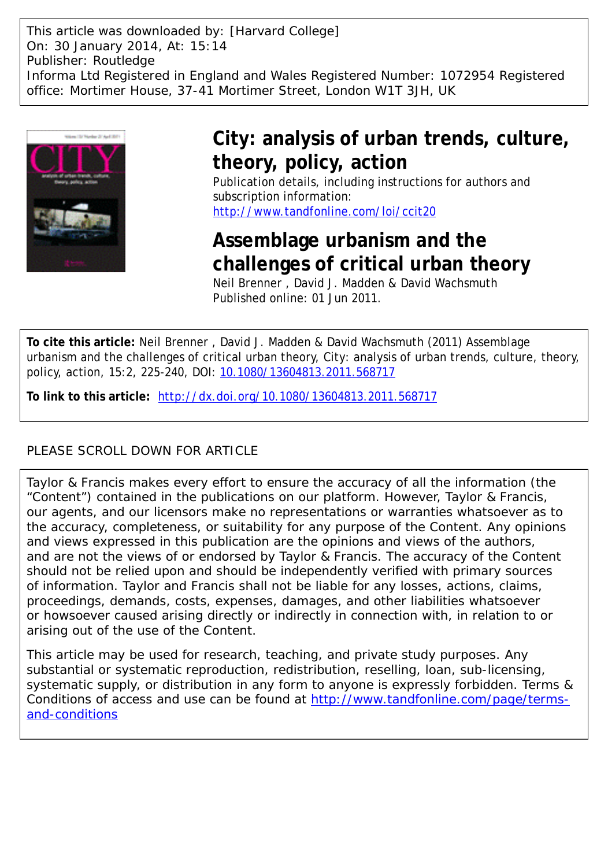This article was downloaded by: [Harvard College] On: 30 January 2014, At: 15:14 Publisher: Routledge Informa Ltd Registered in England and Wales Registered Number: 1072954 Registered office: Mortimer House, 37-41 Mortimer Street, London W1T 3JH, UK



**City: analysis of urban trends, culture, theory, policy, action** Publication details, including instructions for authors and subscription information: <http://www.tandfonline.com/loi/ccit20>

# **Assemblage urbanism and the challenges of critical urban theory**

Neil Brenner , David J. Madden & David Wachsmuth Published online: 01 Jun 2011.

**To cite this article:** Neil Brenner , David J. Madden & David Wachsmuth (2011) Assemblage urbanism and the challenges of critical urban theory, City: analysis of urban trends, culture, theory, policy, action, 15:2, 225-240, DOI: [10.1080/13604813.2011.568717](http://www.tandfonline.com/action/showCitFormats?doi=10.1080/13604813.2011.568717)

**To link to this article:** <http://dx.doi.org/10.1080/13604813.2011.568717>

## PLEASE SCROLL DOWN FOR ARTICLE

Taylor & Francis makes every effort to ensure the accuracy of all the information (the "Content") contained in the publications on our platform. However, Taylor & Francis, our agents, and our licensors make no representations or warranties whatsoever as to the accuracy, completeness, or suitability for any purpose of the Content. Any opinions and views expressed in this publication are the opinions and views of the authors, and are not the views of or endorsed by Taylor & Francis. The accuracy of the Content should not be relied upon and should be independently verified with primary sources of information. Taylor and Francis shall not be liable for any losses, actions, claims, proceedings, demands, costs, expenses, damages, and other liabilities whatsoever or howsoever caused arising directly or indirectly in connection with, in relation to or arising out of the use of the Content.

This article may be used for research, teaching, and private study purposes. Any substantial or systematic reproduction, redistribution, reselling, loan, sub-licensing, systematic supply, or distribution in any form to anyone is expressly forbidden. Terms & Conditions of access and use can be found at [http://www.tandfonline.com/page/terms](http://www.tandfonline.com/page/terms-and-conditions)[and-conditions](http://www.tandfonline.com/page/terms-and-conditions)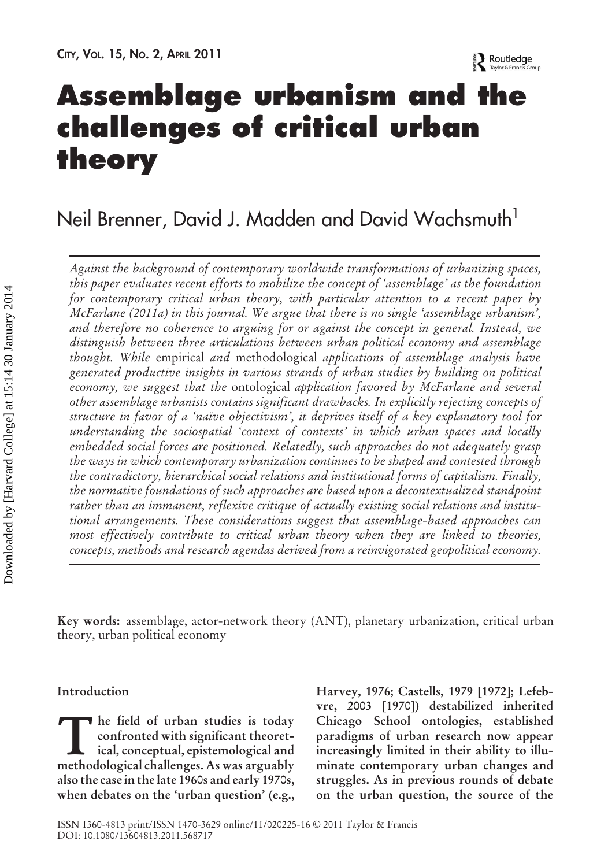# Routledge

# **Assemblage urbanism and the challenges of critical urban theory**

# Neil Brenner, David J. Madden and David Wachsmuth<sup>1</sup>

*Against the background of contemporary worldwide transformations of urbanizing spaces, this paper evaluates recent efforts to mobilize the concept of 'assemblage' as the foundation for contemporary critical urban theory, with particular attention to a recent paper by McFarlane (2011a) in this journal. We argue that there is no single 'assemblage urbanism', and therefore no coherence to arguing for or against the concept in general. Instead, we distinguish between three articulations between urban political economy and assemblage thought. While* empirical *and* methodological *applications of assemblage analysis have generated productive insights in various strands of urban studies by building on political economy, we suggest that the* ontological *application favored by McFarlane and several other assemblage urbanists contains significant drawbacks. In explicitly rejecting concepts of structure in favor of a 'naïve objectivism', it deprives itself of a key explanatory tool for understanding the sociospatial 'context of contexts' in which urban spaces and locally embedded social forces are positioned. Relatedly, such approaches do not adequately grasp the ways in which contemporary urbanization continues to be shaped and contested through the contradictory, hierarchical social relations and institutional forms of capitalism. Finally, the normative foundations of such approaches are based upon a decontextualized standpoint rather than an immanent, reflexive critique of actually existing social relations and institutional arrangements. These considerations suggest that assemblage-based approaches can most effectively contribute to critical urban theory when they are linked to theories, concepts, methods and research agendas derived from a reinvigorated geopolitical economy.*

**Key words:** assemblage, actor-network theory (ANT), planetary urbanization, critical urban theory, urban political economy

#### **Introduction**

**he field of urban studies is today confronted with significant theoretical, conceptual, epistemological and 1** he field of urban studies is today confronted with significant theoretical, conceptual, epistemological and methodological challenges. As was arguably **also the case in the late 1960s and early 1970s, when debates on the 'urban question' (e.g.,** **Harvey, 1976; Castells, 1979 [1972]; Lefebvre, 2003 [1970]) destabilized inherited Chicago School ontologies, established paradigms of urban research now appear increasingly limited in their ability to illuminate contemporary urban changes and struggles. As in previous rounds of debate on the urban question, the source of the**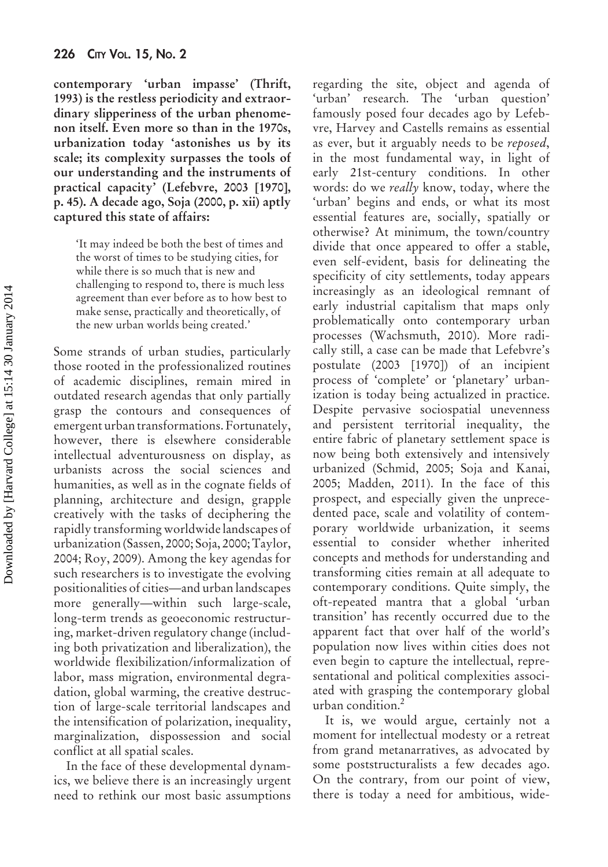**contemporary 'urban impasse' (Thrift, 1993) is the restless periodicity and extraordinary slipperiness of the urban phenomenon itself. Even more so than in the 1970s, urbanization today 'astonishes us by its scale; its complexity surpasses the tools of our understanding and the instruments of practical capacity' (Lefebvre, 2003 [1970], p. 45). A decade ago, Soja (2000, p. xii) aptly captured this state of affairs:**

'It may indeed be both the best of times and the worst of times to be studying cities, for while there is so much that is new and challenging to respond to, there is much less agreement than ever before as to how best to make sense, practically and theoretically, of the new urban worlds being created.'

Some strands of urban studies, particularly those rooted in the professionalized routines of academic disciplines, remain mired in outdated research agendas that only partially grasp the contours and consequences of emergent urban transformations. Fortunately, however, there is elsewhere considerable intellectual adventurousness on display, as urbanists across the social sciences and humanities, as well as in the cognate fields of planning, architecture and design, grapple creatively with the tasks of deciphering the rapidly transforming worldwide landscapes of urbanization (Sassen, 2000; Soja, 2000; Taylor, 2004; Roy, 2009). Among the key agendas for such researchers is to investigate the evolving positionalities of cities—and urban landscapes more generally—within such large-scale, long-term trends as geoeconomic restructuring, market-driven regulatory change (including both privatization and liberalization), the worldwide flexibilization/informalization of labor, mass migration, environmental degradation, global warming, the creative destruction of large-scale territorial landscapes and the intensification of polarization, inequality, marginalization, dispossession and social conflict at all spatial scales.

In the face of these developmental dynamics, we believe there is an increasingly urgent need to rethink our most basic assumptions regarding the site, object and agenda of 'urban' research. The 'urban question' famously posed four decades ago by Lefebvre, Harvey and Castells remains as essential as ever, but it arguably needs to be *reposed*, in the most fundamental way, in light of early 21st-century conditions. In other words: do we *really* know, today, where the 'urban' begins and ends, or what its most essential features are, socially, spatially or otherwise? At minimum, the town/country divide that once appeared to offer a stable, even self-evident, basis for delineating the specificity of city settlements, today appears increasingly as an ideological remnant of early industrial capitalism that maps only problematically onto contemporary urban processes (Wachsmuth, 2010). More radically still, a case can be made that Lefebvre's postulate (2003 [1970]) of an incipient process of 'complete' or 'planetary' urbanization is today being actualized in practice. Despite pervasive sociospatial unevenness and persistent territorial inequality, the entire fabric of planetary settlement space is now being both extensively and intensively urbanized (Schmid, 2005; Soja and Kanai, 2005; Madden, 2011). In the face of this prospect, and especially given the unprecedented pace, scale and volatility of contemporary worldwide urbanization, it seems essential to consider whether inherited concepts and methods for understanding and transforming cities remain at all adequate to contemporary conditions. Quite simply, the oft-repeated mantra that a global 'urban transition' has recently occurred due to the apparent fact that over half of the world's population now lives within cities does not even begin to capture the intellectual, representational and political complexities associated with grasping the contemporary global urban condition.<sup>2</sup>

It is, we would argue, certainly not a moment for intellectual modesty or a retreat from grand metanarratives, as advocated by some poststructuralists a few decades ago. On the contrary, from our point of view, there is today a need for ambitious, wide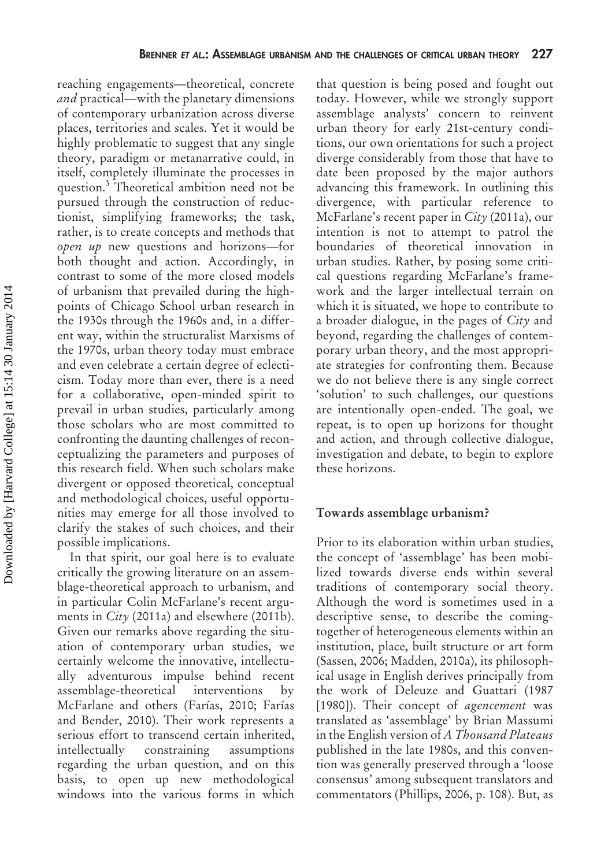reaching engagements—theoretical, concrete *and* practical—with the planetary dimensions of contemporary urbanization across diverse places, territories and scales. Yet it would be highly problematic to suggest that any single theory, paradigm or metanarrative could, in itself, completely illuminate the processes in question.3 Theoretical ambition need not be pursued through the construction of reductionist, simplifying frameworks; the task, rather, is to create concepts and methods that *open up* new questions and horizons—for both thought and action. Accordingly, in contrast to some of the more closed models of urbanism that prevailed during the highpoints of Chicago School urban research in the 1930s through the 1960s and, in a different way, within the structuralist Marxisms of the 1970s, urban theory today must embrace and even celebrate a certain degree of eclecticism. Today more than ever, there is a need for a collaborative, open-minded spirit to prevail in urban studies, particularly among those scholars who are most committed to confronting the daunting challenges of reconceptualizing the parameters and purposes of this research field. When such scholars make divergent or opposed theoretical, conceptual and methodological choices, useful opportunities may emerge for all those involved to clarify the stakes of such choices, and their possible implications.

In that spirit, our goal here is to evaluate critically the growing literature on an assemblage-theoretical approach to urbanism, and in particular Colin McFarlane's recent arguments in *City* (2011a) and elsewhere (2011b). Given our remarks above regarding the situation of contemporary urban studies, we certainly welcome the innovative, intellectually adventurous impulse behind recent assemblage-theoretical interventions by McFarlane and others (Farías, 2010; Farías and Bender, 2010). Their work represents a serious effort to transcend certain inherited, intellectually constraining assumptions regarding the urban question, and on this basis, to open up new methodological windows into the various forms in which

that question is being posed and fought out today. However, while we strongly support assemblage analysts' concern to reinvent urban theory for early 21st-century conditions, our own orientations for such a project diverge considerably from those that have to date been proposed by the major authors advancing this framework. In outlining this divergence, with particular reference to McFarlane's recent paper in *City* (2011a), our intention is not to attempt to patrol the boundaries of theoretical innovation in urban studies. Rather, by posing some critical questions regarding McFarlane's framework and the larger intellectual terrain on which it is situated, we hope to contribute to a broader dialogue, in the pages of *City* and beyond, regarding the challenges of contemporary urban theory, and the most appropriate strategies for confronting them. Because we do not believe there is any single correct 'solution' to such challenges, our questions are intentionally open-ended. The goal, we repeat, is to open up horizons for thought and action, and through collective dialogue, investigation and debate, to begin to explore these horizons.

### **Towards assemblage urbanism?**

Prior to its elaboration within urban studies, the concept of 'assemblage' has been mobilized towards diverse ends within several traditions of contemporary social theory. Although the word is sometimes used in a descriptive sense, to describe the comingtogether of heterogeneous elements within an institution, place, built structure or art form (Sassen, 2006; Madden, 2010a), its philosophical usage in English derives principally from the work of Deleuze and Guattari (1987 [1980]). Their concept of *agencement* was translated as 'assemblage' by Brian Massumi in the English version of *A Thousand Plateaus* published in the late 1980s, and this convention was generally preserved through a 'loose consensus' among subsequent translators and commentators (Phillips, 2006, p. 108). But, as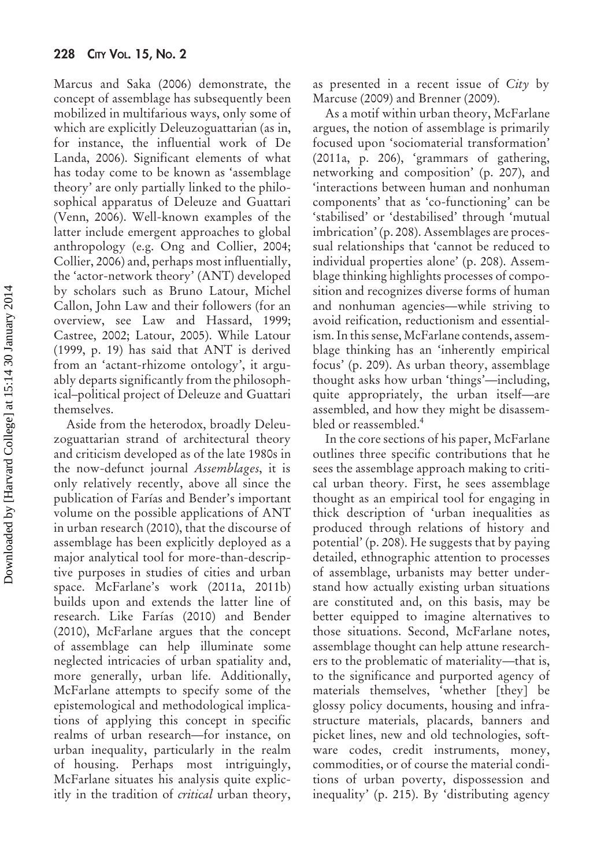Marcus and Saka (2006) demonstrate, the concept of assemblage has subsequently been mobilized in multifarious ways, only some of which are explicitly Deleuzoguattarian (as in, for instance, the influential work of De Landa, 2006). Significant elements of what has today come to be known as 'assemblage theory' are only partially linked to the philosophical apparatus of Deleuze and Guattari (Venn, 2006). Well-known examples of the latter include emergent approaches to global anthropology (e.g. Ong and Collier, 2004; Collier, 2006) and, perhaps most influentially, the 'actor-network theory' (ANT) developed by scholars such as Bruno Latour, Michel Callon, John Law and their followers (for an overview, see Law and Hassard, 1999; Castree, 2002; Latour, 2005). While Latour (1999, p. 19) has said that ANT is derived from an 'actant-rhizome ontology', it arguably departs significantly from the philosophical–political project of Deleuze and Guattari themselves.

Aside from the heterodox, broadly Deleuzoguattarian strand of architectural theory and criticism developed as of the late 1980s in the now-defunct journal *Assemblages*, it is only relatively recently, above all since the publication of Farías and Bender's important volume on the possible applications of ANT in urban research (2010), that the discourse of assemblage has been explicitly deployed as a major analytical tool for more-than-descriptive purposes in studies of cities and urban space. McFarlane's work (2011a, 2011b) builds upon and extends the latter line of research. Like Farías (2010) and Bender (2010), McFarlane argues that the concept of assemblage can help illuminate some neglected intricacies of urban spatiality and, more generally, urban life. Additionally, McFarlane attempts to specify some of the epistemological and methodological implications of applying this concept in specific realms of urban research—for instance, on urban inequality, particularly in the realm of housing. Perhaps most intriguingly, McFarlane situates his analysis quite explicitly in the tradition of *critical* urban theory, as presented in a recent issue of *City* by Marcuse (2009) and Brenner (2009).

As a motif within urban theory, McFarlane argues, the notion of assemblage is primarily focused upon 'sociomaterial transformation' (2011a, p. 206), 'grammars of gathering, networking and composition' (p. 207), and 'interactions between human and nonhuman components' that as 'co-functioning' can be 'stabilised' or 'destabilised' through 'mutual imbrication' (p. 208). Assemblages are processual relationships that 'cannot be reduced to individual properties alone' (p. 208). Assemblage thinking highlights processes of composition and recognizes diverse forms of human and nonhuman agencies—while striving to avoid reification, reductionism and essentialism. In this sense, McFarlane contends, assemblage thinking has an 'inherently empirical focus' (p. 209). As urban theory, assemblage thought asks how urban 'things'—including, quite appropriately, the urban itself—are assembled, and how they might be disassembled or reassembled.<sup>4</sup>

In the core sections of his paper, McFarlane outlines three specific contributions that he sees the assemblage approach making to critical urban theory. First, he sees assemblage thought as an empirical tool for engaging in thick description of 'urban inequalities as produced through relations of history and potential' (p. 208). He suggests that by paying detailed, ethnographic attention to processes of assemblage, urbanists may better understand how actually existing urban situations are constituted and, on this basis, may be better equipped to imagine alternatives to those situations. Second, McFarlane notes, assemblage thought can help attune researchers to the problematic of materiality—that is, to the significance and purported agency of materials themselves, 'whether [they] be glossy policy documents, housing and infrastructure materials, placards, banners and picket lines, new and old technologies, software codes, credit instruments, money, commodities, or of course the material conditions of urban poverty, dispossession and inequality' (p. 215). By 'distributing agency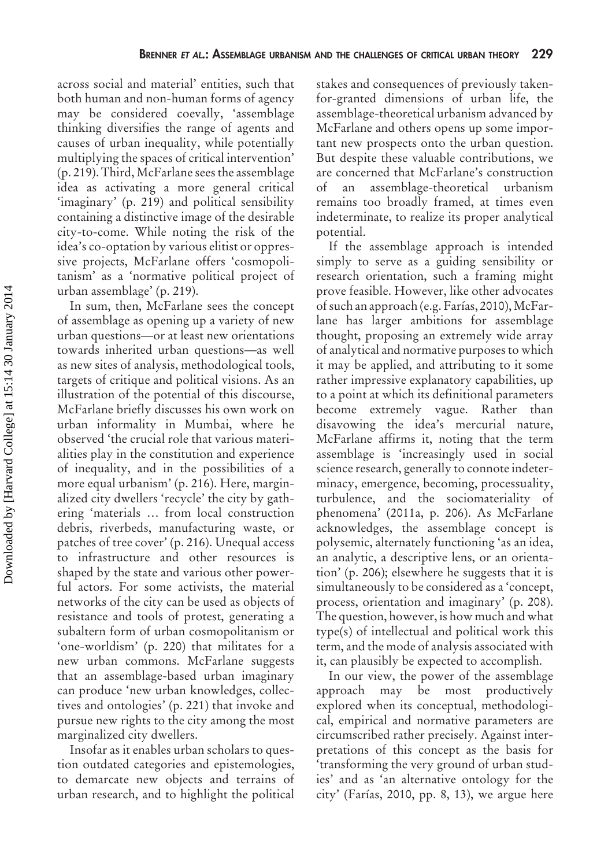across social and material' entities, such that both human and non-human forms of agency may be considered coevally, 'assemblage thinking diversifies the range of agents and causes of urban inequality, while potentially multiplying the spaces of critical intervention' (p. 219). Third, McFarlane sees the assemblage idea as activating a more general critical 'imaginary' (p. 219) and political sensibility containing a distinctive image of the desirable city-to-come. While noting the risk of the idea's co-optation by various elitist or oppressive projects, McFarlane offers 'cosmopolitanism' as a 'normative political project of urban assemblage' (p. 219).

In sum, then, McFarlane sees the concept of assemblage as opening up a variety of new urban questions—or at least new orientations towards inherited urban questions—as well as new sites of analysis, methodological tools, targets of critique and political visions. As an illustration of the potential of this discourse, McFarlane briefly discusses his own work on urban informality in Mumbai, where he observed 'the crucial role that various materialities play in the constitution and experience of inequality, and in the possibilities of a more equal urbanism' (p. 216). Here, marginalized city dwellers 'recycle' the city by gathering 'materials … from local construction debris, riverbeds, manufacturing waste, or patches of tree cover' (p. 216). Unequal access to infrastructure and other resources is shaped by the state and various other powerful actors. For some activists, the material networks of the city can be used as objects of resistance and tools of protest, generating a subaltern form of urban cosmopolitanism or 'one-worldism' (p. 220) that militates for a new urban commons. McFarlane suggests that an assemblage-based urban imaginary can produce 'new urban knowledges, collectives and ontologies' (p. 221) that invoke and pursue new rights to the city among the most marginalized city dwellers.

Insofar as it enables urban scholars to question outdated categories and epistemologies, to demarcate new objects and terrains of urban research, and to highlight the political

stakes and consequences of previously takenfor-granted dimensions of urban life, the assemblage-theoretical urbanism advanced by McFarlane and others opens up some important new prospects onto the urban question. But despite these valuable contributions, we are concerned that McFarlane's construction of an assemblage-theoretical urbanism remains too broadly framed, at times even indeterminate, to realize its proper analytical potential.

If the assemblage approach is intended simply to serve as a guiding sensibility or research orientation, such a framing might prove feasible. However, like other advocates of such an approach (e.g. Farías, 2010), McFarlane has larger ambitions for assemblage thought, proposing an extremely wide array of analytical and normative purposes to which it may be applied, and attributing to it some rather impressive explanatory capabilities, up to a point at which its definitional parameters become extremely vague. Rather than disavowing the idea's mercurial nature, McFarlane affirms it, noting that the term assemblage is 'increasingly used in social science research, generally to connote indeterminacy, emergence, becoming, processuality, turbulence, and the sociomateriality of phenomena' (2011a, p. 206). As McFarlane acknowledges, the assemblage concept is polysemic, alternately functioning 'as an idea, an analytic, a descriptive lens, or an orientation' (p. 206); elsewhere he suggests that it is simultaneously to be considered as a 'concept, process, orientation and imaginary' (p. 208). The question, however, is how much and what type(s) of intellectual and political work this term, and the mode of analysis associated with it, can plausibly be expected to accomplish.

In our view, the power of the assemblage approach may be most productively explored when its conceptual, methodological, empirical and normative parameters are circumscribed rather precisely. Against interpretations of this concept as the basis for 'transforming the very ground of urban studies' and as 'an alternative ontology for the city' (Farías, 2010, pp. 8, 13), we argue here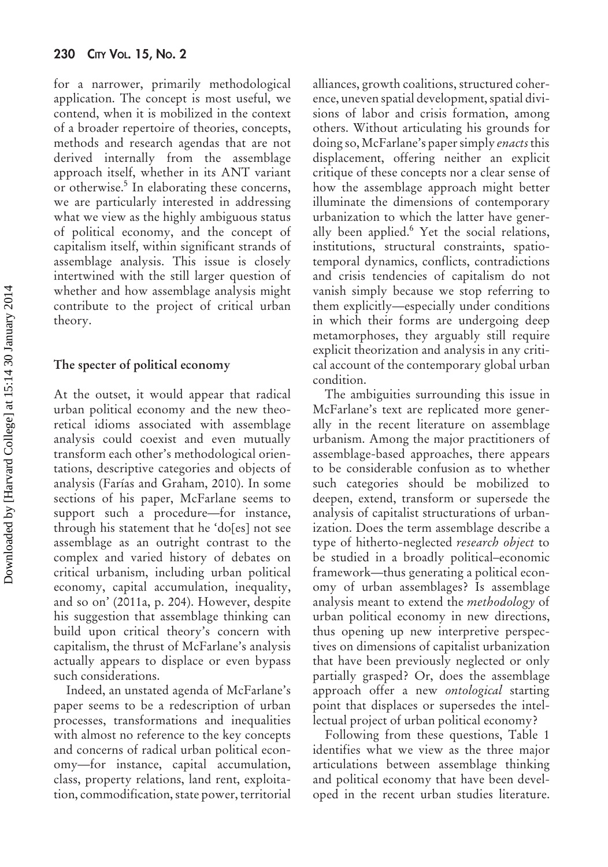for a narrower, primarily methodological application. The concept is most useful, we contend, when it is mobilized in the context of a broader repertoire of theories, concepts, methods and research agendas that are not derived internally from the assemblage approach itself, whether in its ANT variant or otherwise.<sup>5</sup> In elaborating these concerns, we are particularly interested in addressing what we view as the highly ambiguous status of political economy, and the concept of capitalism itself, within significant strands of assemblage analysis. This issue is closely intertwined with the still larger question of whether and how assemblage analysis might contribute to the project of critical urban theory.

## **The specter of political economy**

At the outset, it would appear that radical urban political economy and the new theoretical idioms associated with assemblage analysis could coexist and even mutually transform each other's methodological orientations, descriptive categories and objects of analysis (Farías and Graham, 2010). In some sections of his paper, McFarlane seems to support such a procedure—for instance, through his statement that he 'do[es] not see assemblage as an outright contrast to the complex and varied history of debates on critical urbanism, including urban political economy, capital accumulation, inequality, and so on' (2011a, p. 204). However, despite his suggestion that assemblage thinking can build upon critical theory's concern with capitalism, the thrust of McFarlane's analysis actually appears to displace or even bypass such considerations.

Indeed, an unstated agenda of McFarlane's paper seems to be a redescription of urban processes, transformations and inequalities with almost no reference to the key concepts and concerns of radical urban political economy—for instance, capital accumulation, class, property relations, land rent, exploitation, commodification, state power, territorial alliances, growth coalitions, structured coherence, uneven spatial development, spatial divisions of labor and crisis formation, among others. Without articulating his grounds for doing so, McFarlane's paper simply *enacts*this displacement, offering neither an explicit critique of these concepts nor a clear sense of how the assemblage approach might better illuminate the dimensions of contemporary urbanization to which the latter have generally been applied.6 Yet the social relations, institutions, structural constraints, spatiotemporal dynamics, conflicts, contradictions and crisis tendencies of capitalism do not vanish simply because we stop referring to them explicitly—especially under conditions in which their forms are undergoing deep metamorphoses, they arguably still require explicit theorization and analysis in any critical account of the contemporary global urban condition.

The ambiguities surrounding this issue in McFarlane's text are replicated more generally in the recent literature on assemblage urbanism. Among the major practitioners of assemblage-based approaches, there appears to be considerable confusion as to whether such categories should be mobilized to deepen, extend, transform or supersede the analysis of capitalist structurations of urbanization. Does the term assemblage describe a type of hitherto-neglected *research object* to be studied in a broadly political–economic framework—thus generating a political economy of urban assemblages? Is assemblage analysis meant to extend the *methodology* of urban political economy in new directions, thus opening up new interpretive perspectives on dimensions of capitalist urbanization that have been previously neglected or only partially grasped? Or, does the assemblage approach offer a new *ontological* starting point that displaces or supersedes the intellectual project of urban political economy?

Following from these questions, Table 1 identifies what we view as the three major articulations between assemblage thinking and political economy that have been developed in the recent urban studies literature.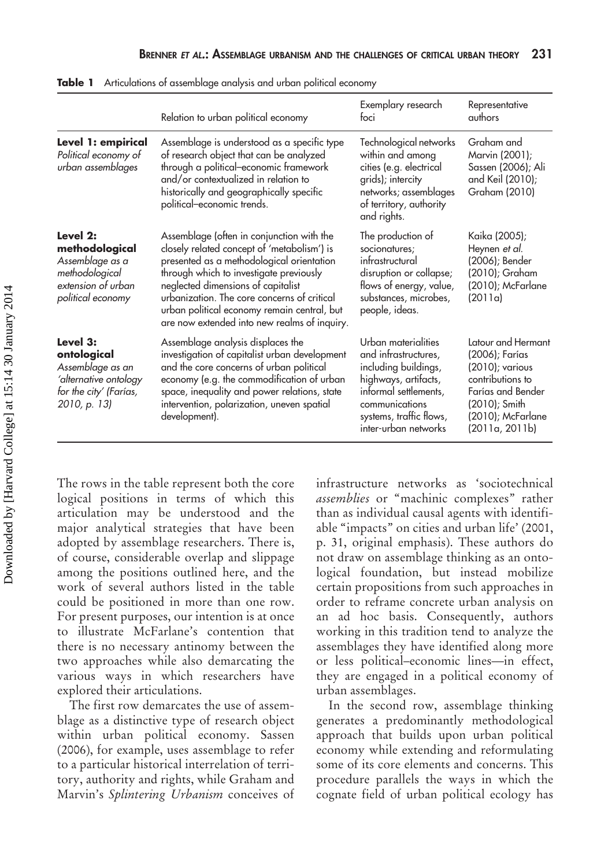|                                                                                                                | Relation to urban political economy                                                                                                                                                                                                                                                                                                                                  | Exemplary research<br>foci                                                                                                                                                                | Representative<br>authors                                                                                                                                      |
|----------------------------------------------------------------------------------------------------------------|----------------------------------------------------------------------------------------------------------------------------------------------------------------------------------------------------------------------------------------------------------------------------------------------------------------------------------------------------------------------|-------------------------------------------------------------------------------------------------------------------------------------------------------------------------------------------|----------------------------------------------------------------------------------------------------------------------------------------------------------------|
| Level 1: empirical<br>Political economy of<br>urban assemblages                                                | Assemblage is understood as a specific type<br>of research object that can be analyzed<br>through a political-economic framework<br>and/or contextualized in relation to<br>historically and geographically specific<br>political-economic trends.                                                                                                                   | Technological networks<br>within and among<br>cities (e.g. electrical<br>grids); intercity<br>networks; assemblages<br>of territory, authority<br>and rights.                             | Graham and<br>Marvin (2001);<br>Sassen (2006); Ali<br>and Keil (2010);<br>Graham (2010)                                                                        |
| Level 2:<br>methodological<br>Assemblage as a<br>methodological<br>extension of urban<br>political economy     | Assemblage (often in conjunction with the<br>closely related concept of 'metabolism') is<br>presented as a methodological orientation<br>through which to investigate previously<br>neglected dimensions of capitalist<br>urbanization. The core concerns of critical<br>urban political economy remain central, but<br>are now extended into new realms of inquiry. | The production of<br>socionatures;<br>infrastructural<br>disruption or collapse;<br>flows of energy, value,<br>substances, microbes,<br>people, ideas.                                    | Kaika (2005);<br>Heynen et al.<br>(2006); Bender<br>(2010); Graham<br>(2010); McFarlane<br>(2011a)                                                             |
| Level 3:<br>ontological<br>Assemblage as an<br>'alternative ontology<br>for the city' (Farías,<br>2010, p. 13) | Assemblage analysis displaces the<br>investigation of capitalist urban development<br>and the core concerns of urban political<br>economy (e.g. the commodification of urban<br>space, inequality and power relations, state<br>intervention, polarization, uneven spatial<br>development).                                                                          | Urban materialities<br>and infrastructures,<br>including buildings,<br>highways, artifacts,<br>informal settlements,<br>communications<br>systems, traffic flows,<br>inter-urban networks | Latour and Hermant<br>(2006); Farías<br>$(2010)$ ; various<br>contributions to<br>Farías and Bender<br>$(2010)$ ; Smith<br>(2010); McFarlane<br>(2011a, 2011b) |

**Table 1** Articulations of assemblage analysis and urban political economy

The rows in the table represent both the core logical positions in terms of which this articulation may be understood and the major analytical strategies that have been adopted by assemblage researchers. There is, of course, considerable overlap and slippage among the positions outlined here, and the work of several authors listed in the table could be positioned in more than one row. For present purposes, our intention is at once to illustrate McFarlane's contention that there is no necessary antinomy between the two approaches while also demarcating the various ways in which researchers have explored their articulations.

The first row demarcates the use of assemblage as a distinctive type of research object within urban political economy. Sassen (2006), for example, uses assemblage to refer to a particular historical interrelation of territory, authority and rights, while Graham and Marvin's *Splintering Urbanism* conceives of infrastructure networks as 'sociotechnical *assemblies* or "machinic complexes" rather than as individual causal agents with identifiable "impacts" on cities and urban life' (2001, p. 31, original emphasis). These authors do not draw on assemblage thinking as an ontological foundation, but instead mobilize certain propositions from such approaches in order to reframe concrete urban analysis on an ad hoc basis. Consequently, authors working in this tradition tend to analyze the assemblages they have identified along more or less political–economic lines—in effect, they are engaged in a political economy of urban assemblages.

In the second row, assemblage thinking generates a predominantly methodological approach that builds upon urban political economy while extending and reformulating some of its core elements and concerns. This procedure parallels the ways in which the cognate field of urban political ecology has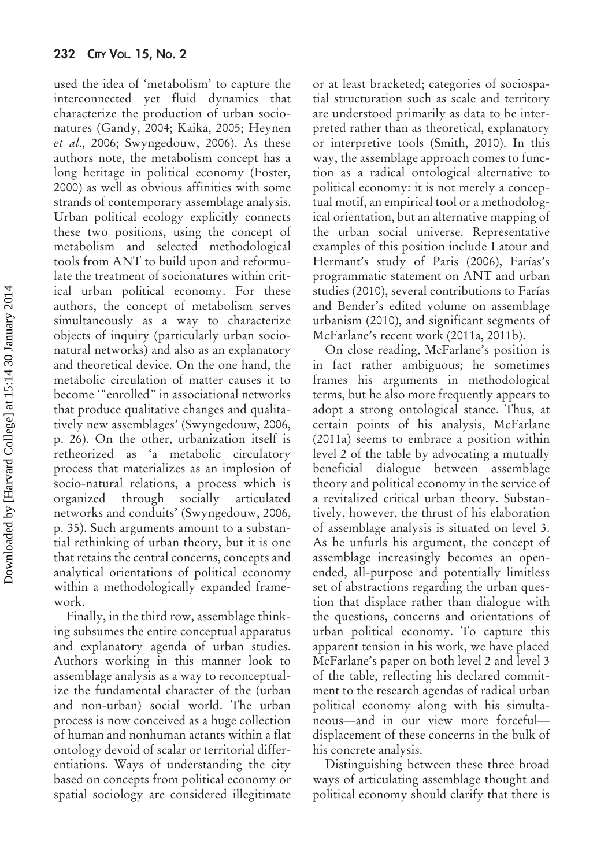used the idea of 'metabolism' to capture the interconnected yet fluid dynamics that characterize the production of urban socionatures (Gandy, 2004; Kaika, 2005; Heynen *et al*., 2006; Swyngedouw, 2006). As these authors note, the metabolism concept has a long heritage in political economy (Foster, 2000) as well as obvious affinities with some strands of contemporary assemblage analysis. Urban political ecology explicitly connects these two positions, using the concept of metabolism and selected methodological tools from ANT to build upon and reformulate the treatment of socionatures within critical urban political economy. For these authors, the concept of metabolism serves simultaneously as a way to characterize objects of inquiry (particularly urban socionatural networks) and also as an explanatory and theoretical device. On the one hand, the metabolic circulation of matter causes it to become '"enrolled" in associational networks that produce qualitative changes and qualitatively new assemblages' (Swyngedouw, 2006, p. 26). On the other, urbanization itself is retheorized as 'a metabolic circulatory process that materializes as an implosion of socio-natural relations, a process which is organized through socially articulated networks and conduits' (Swyngedouw, 2006, p. 35). Such arguments amount to a substantial rethinking of urban theory, but it is one that retains the central concerns, concepts and analytical orientations of political economy within a methodologically expanded framework.

Finally, in the third row, assemblage thinking subsumes the entire conceptual apparatus and explanatory agenda of urban studies. Authors working in this manner look to assemblage analysis as a way to reconceptualize the fundamental character of the (urban and non-urban) social world. The urban process is now conceived as a huge collection of human and nonhuman actants within a flat ontology devoid of scalar or territorial differentiations. Ways of understanding the city based on concepts from political economy or spatial sociology are considered illegitimate or at least bracketed; categories of sociospatial structuration such as scale and territory are understood primarily as data to be interpreted rather than as theoretical, explanatory or interpretive tools (Smith, 2010). In this way, the assemblage approach comes to function as a radical ontological alternative to political economy: it is not merely a conceptual motif, an empirical tool or a methodological orientation, but an alternative mapping of the urban social universe. Representative examples of this position include Latour and Hermant's study of Paris (2006), Farías's programmatic statement on ANT and urban studies (2010), several contributions to Farías and Bender's edited volume on assemblage urbanism (2010), and significant segments of McFarlane's recent work (2011a, 2011b).

On close reading, McFarlane's position is in fact rather ambiguous; he sometimes frames his arguments in methodological terms, but he also more frequently appears to adopt a strong ontological stance. Thus, at certain points of his analysis, McFarlane (2011a) seems to embrace a position within level 2 of the table by advocating a mutually beneficial dialogue between assemblage theory and political economy in the service of a revitalized critical urban theory. Substantively, however, the thrust of his elaboration of assemblage analysis is situated on level 3. As he unfurls his argument, the concept of assemblage increasingly becomes an openended, all-purpose and potentially limitless set of abstractions regarding the urban question that displace rather than dialogue with the questions, concerns and orientations of urban political economy. To capture this apparent tension in his work, we have placed McFarlane's paper on both level 2 and level 3 of the table, reflecting his declared commitment to the research agendas of radical urban political economy along with his simultaneous—and in our view more forceful displacement of these concerns in the bulk of his concrete analysis.

Distinguishing between these three broad ways of articulating assemblage thought and political economy should clarify that there is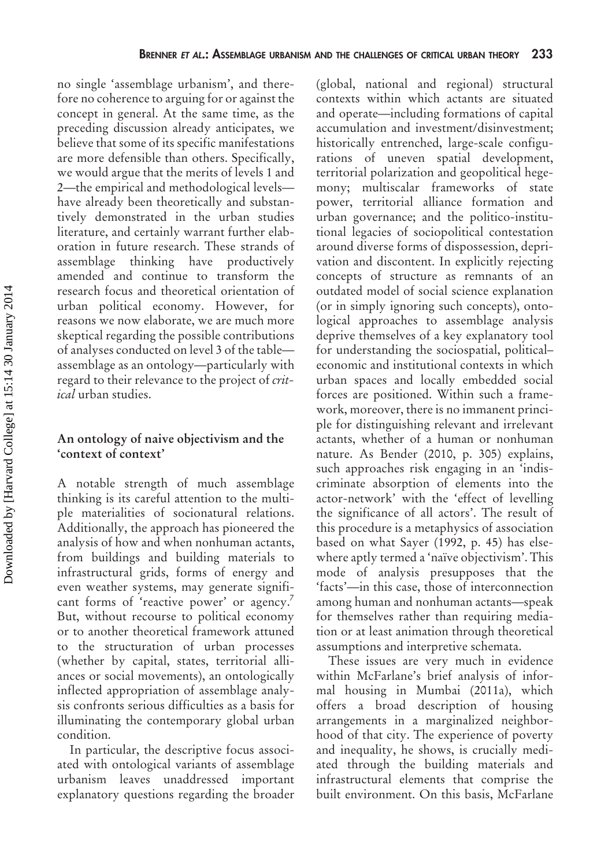no single 'assemblage urbanism', and therefore no coherence to arguing for or against the concept in general. At the same time, as the preceding discussion already anticipates, we believe that some of its specific manifestations are more defensible than others. Specifically, we would argue that the merits of levels 1 and 2—the empirical and methodological levels have already been theoretically and substantively demonstrated in the urban studies literature, and certainly warrant further elaboration in future research. These strands of assemblage thinking have productively amended and continue to transform the research focus and theoretical orientation of urban political economy. However, for reasons we now elaborate, we are much more skeptical regarding the possible contributions of analyses conducted on level 3 of the table assemblage as an ontology—particularly with regard to their relevance to the project of *critical* urban studies.

## **An ontology of naive objectivism and the 'context of context'**

A notable strength of much assemblage thinking is its careful attention to the multiple materialities of socionatural relations. Additionally, the approach has pioneered the analysis of how and when nonhuman actants, from buildings and building materials to infrastructural grids, forms of energy and even weather systems, may generate significant forms of 'reactive power' or agency.<sup>7</sup> But, without recourse to political economy or to another theoretical framework attuned to the structuration of urban processes (whether by capital, states, territorial alliances or social movements), an ontologically inflected appropriation of assemblage analysis confronts serious difficulties as a basis for illuminating the contemporary global urban condition.

In particular, the descriptive focus associated with ontological variants of assemblage urbanism leaves unaddressed important explanatory questions regarding the broader (global, national and regional) structural contexts within which actants are situated and operate—including formations of capital accumulation and investment/disinvestment; historically entrenched, large-scale configurations of uneven spatial development, territorial polarization and geopolitical hegemony; multiscalar frameworks of state power, territorial alliance formation and urban governance; and the politico-institutional legacies of sociopolitical contestation around diverse forms of dispossession, deprivation and discontent. In explicitly rejecting concepts of structure as remnants of an outdated model of social science explanation (or in simply ignoring such concepts), ontological approaches to assemblage analysis deprive themselves of a key explanatory tool for understanding the sociospatial, political– economic and institutional contexts in which urban spaces and locally embedded social forces are positioned. Within such a framework, moreover, there is no immanent principle for distinguishing relevant and irrelevant actants, whether of a human or nonhuman nature. As Bender (2010, p. 305) explains, such approaches risk engaging in an 'indiscriminate absorption of elements into the actor-network' with the 'effect of levelling the significance of all actors'. The result of this procedure is a metaphysics of association based on what Sayer (1992, p. 45) has elsewhere aptly termed a 'naïve objectivism'. This mode of analysis presupposes that the 'facts'—in this case, those of interconnection among human and nonhuman actants—speak for themselves rather than requiring mediation or at least animation through theoretical assumptions and interpretive schemata.

These issues are very much in evidence within McFarlane's brief analysis of informal housing in Mumbai (2011a), which offers a broad description of housing arrangements in a marginalized neighborhood of that city. The experience of poverty and inequality, he shows, is crucially mediated through the building materials and infrastructural elements that comprise the built environment. On this basis, McFarlane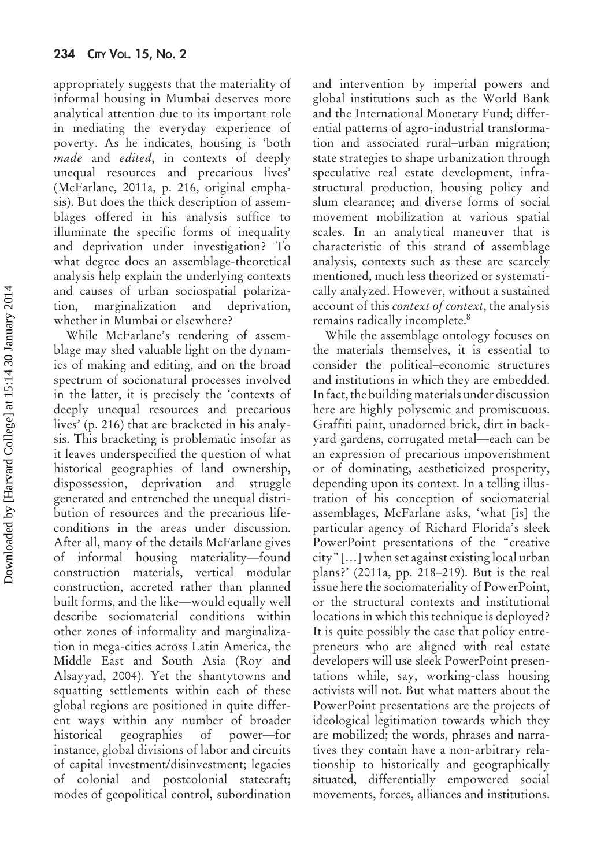appropriately suggests that the materiality of informal housing in Mumbai deserves more analytical attention due to its important role in mediating the everyday experience of poverty. As he indicates, housing is 'both *made* and *edited*, in contexts of deeply unequal resources and precarious lives' (McFarlane, 2011a, p. 216, original emphasis). But does the thick description of assemblages offered in his analysis suffice to illuminate the specific forms of inequality and deprivation under investigation? To what degree does an assemblage-theoretical analysis help explain the underlying contexts and causes of urban sociospatial polarization, marginalization and deprivation, whether in Mumbai or elsewhere?

While McFarlane's rendering of assemblage may shed valuable light on the dynamics of making and editing, and on the broad spectrum of socionatural processes involved in the latter, it is precisely the 'contexts of deeply unequal resources and precarious lives' (p. 216) that are bracketed in his analysis. This bracketing is problematic insofar as it leaves underspecified the question of what historical geographies of land ownership, dispossession, deprivation and struggle generated and entrenched the unequal distribution of resources and the precarious lifeconditions in the areas under discussion. After all, many of the details McFarlane gives of informal housing materiality—found construction materials, vertical modular construction, accreted rather than planned built forms, and the like—would equally well describe sociomaterial conditions within other zones of informality and marginalization in mega-cities across Latin America, the Middle East and South Asia (Roy and Alsayyad, 2004). Yet the shantytowns and squatting settlements within each of these global regions are positioned in quite different ways within any number of broader historical geographies of power—for instance, global divisions of labor and circuits of capital investment/disinvestment; legacies of colonial and postcolonial statecraft; modes of geopolitical control, subordination and intervention by imperial powers and global institutions such as the World Bank and the International Monetary Fund; differential patterns of agro-industrial transformation and associated rural–urban migration; state strategies to shape urbanization through speculative real estate development, infrastructural production, housing policy and slum clearance; and diverse forms of social movement mobilization at various spatial scales. In an analytical maneuver that is characteristic of this strand of assemblage analysis, contexts such as these are scarcely mentioned, much less theorized or systematically analyzed. However, without a sustained account of this *context of context*, the analysis remains radically incomplete.8

While the assemblage ontology focuses on the materials themselves, it is essential to consider the political–economic structures and institutions in which they are embedded. In fact, the building materials under discussion here are highly polysemic and promiscuous. Graffiti paint, unadorned brick, dirt in backyard gardens, corrugated metal—each can be an expression of precarious impoverishment or of dominating, aestheticized prosperity, depending upon its context. In a telling illustration of his conception of sociomaterial assemblages, McFarlane asks, 'what [is] the particular agency of Richard Florida's sleek PowerPoint presentations of the "creative city" […] when set against existing local urban plans?' (2011a, pp. 218–219). But is the real issue here the sociomateriality of PowerPoint, or the structural contexts and institutional locations in which this technique is deployed? It is quite possibly the case that policy entrepreneurs who are aligned with real estate developers will use sleek PowerPoint presentations while, say, working-class housing activists will not. But what matters about the PowerPoint presentations are the projects of ideological legitimation towards which they are mobilized; the words, phrases and narratives they contain have a non-arbitrary relationship to historically and geographically situated, differentially empowered social movements, forces, alliances and institutions.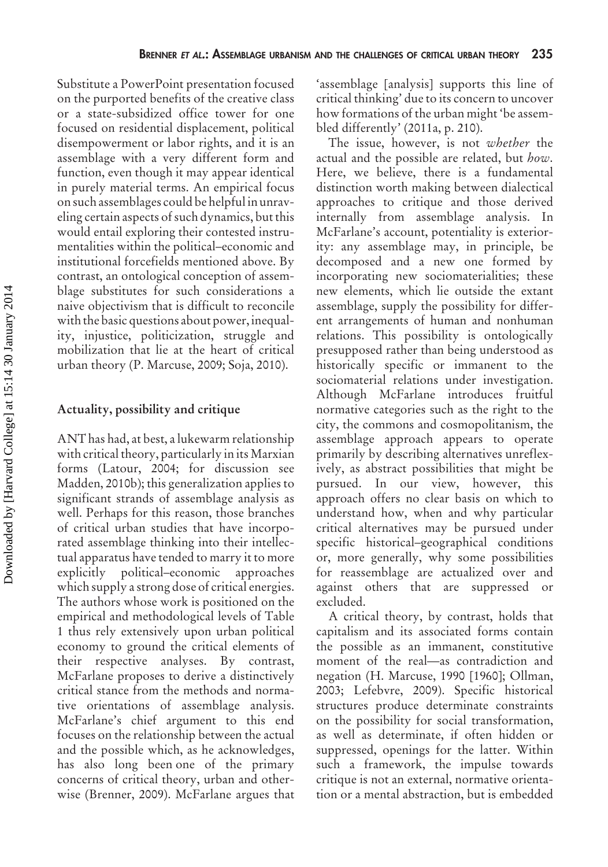Substitute a PowerPoint presentation focused on the purported benefits of the creative class or a state-subsidized office tower for one focused on residential displacement, political disempowerment or labor rights, and it is an assemblage with a very different form and function, even though it may appear identical in purely material terms. An empirical focus on such assemblages could be helpful in unraveling certain aspects of such dynamics, but this would entail exploring their contested instrumentalities within the political–economic and institutional forcefields mentioned above. By contrast, an ontological conception of assemblage substitutes for such considerations a naive objectivism that is difficult to reconcile with the basic questions about power, inequality, injustice, politicization, struggle and mobilization that lie at the heart of critical urban theory (P. Marcuse, 2009; Soja, 2010).

#### **Actuality, possibility and critique**

ANT has had, at best, a lukewarm relationship with critical theory, particularly in its Marxian forms (Latour, 2004; for discussion see Madden, 2010b); this generalization applies to significant strands of assemblage analysis as well. Perhaps for this reason, those branches of critical urban studies that have incorporated assemblage thinking into their intellectual apparatus have tended to marry it to more explicitly political–economic approaches which supply a strong dose of critical energies. The authors whose work is positioned on the empirical and methodological levels of Table 1 thus rely extensively upon urban political economy to ground the critical elements of their respective analyses. By contrast, McFarlane proposes to derive a distinctively critical stance from the methods and normative orientations of assemblage analysis. McFarlane's chief argument to this end focuses on the relationship between the actual and the possible which, as he acknowledges, has also long been one of the primary concerns of critical theory, urban and otherwise (Brenner, 2009). McFarlane argues that 'assemblage [analysis] supports this line of critical thinking' due to its concern to uncover how formations of the urban might 'be assembled differently' (2011a, p. 210).

The issue, however, is not *whether* the actual and the possible are related, but *how*. Here, we believe, there is a fundamental distinction worth making between dialectical approaches to critique and those derived internally from assemblage analysis. In McFarlane's account, potentiality is exteriority: any assemblage may, in principle, be decomposed and a new one formed by incorporating new sociomaterialities; these new elements, which lie outside the extant assemblage, supply the possibility for different arrangements of human and nonhuman relations. This possibility is ontologically presupposed rather than being understood as historically specific or immanent to the sociomaterial relations under investigation. Although McFarlane introduces fruitful normative categories such as the right to the city, the commons and cosmopolitanism, the assemblage approach appears to operate primarily by describing alternatives unreflexively, as abstract possibilities that might be pursued. In our view, however, this approach offers no clear basis on which to understand how, when and why particular critical alternatives may be pursued under specific historical–geographical conditions or, more generally, why some possibilities for reassemblage are actualized over and against others that are suppressed or excluded.

A critical theory, by contrast, holds that capitalism and its associated forms contain the possible as an immanent, constitutive moment of the real—as contradiction and negation (H. Marcuse, 1990 [1960]; Ollman, 2003; Lefebvre, 2009). Specific historical structures produce determinate constraints on the possibility for social transformation, as well as determinate, if often hidden or suppressed, openings for the latter. Within such a framework, the impulse towards critique is not an external, normative orientation or a mental abstraction, but is embedded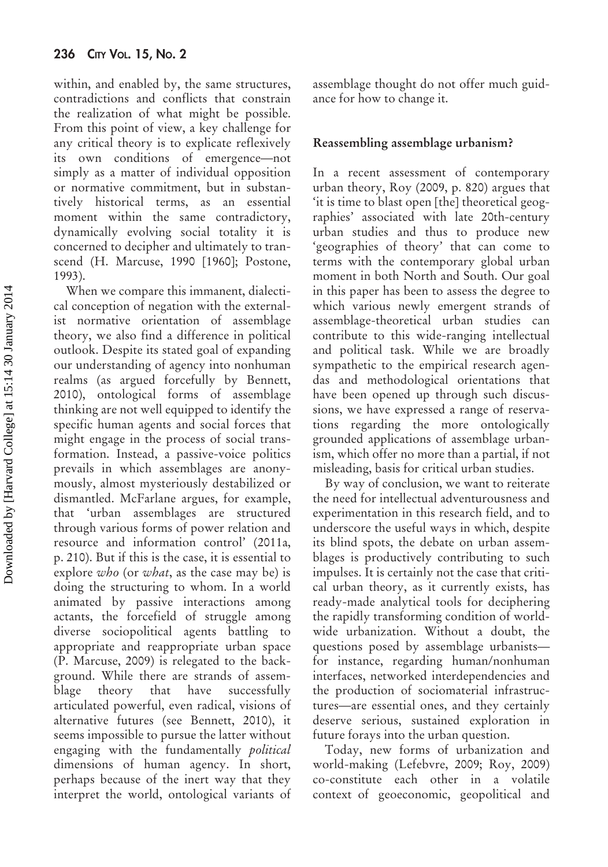within, and enabled by, the same structures, contradictions and conflicts that constrain the realization of what might be possible. From this point of view, a key challenge for any critical theory is to explicate reflexively its own conditions of emergence—not simply as a matter of individual opposition or normative commitment, but in substantively historical terms, as an essential moment within the same contradictory, dynamically evolving social totality it is concerned to decipher and ultimately to transcend (H. Marcuse, 1990 [1960]; Postone, 1993).

When we compare this immanent, dialectical conception of negation with the externalist normative orientation of assemblage theory, we also find a difference in political outlook. Despite its stated goal of expanding our understanding of agency into nonhuman realms (as argued forcefully by Bennett, 2010), ontological forms of assemblage thinking are not well equipped to identify the specific human agents and social forces that might engage in the process of social transformation. Instead, a passive-voice politics prevails in which assemblages are anonymously, almost mysteriously destabilized or dismantled. McFarlane argues, for example, that 'urban assemblages are structured through various forms of power relation and resource and information control' (2011a, p. 210). But if this is the case, it is essential to explore *who* (or *what*, as the case may be) is doing the structuring to whom. In a world animated by passive interactions among actants, the forcefield of struggle among diverse sociopolitical agents battling to appropriate and reappropriate urban space (P. Marcuse, 2009) is relegated to the background. While there are strands of assemblage theory that have successfully articulated powerful, even radical, visions of alternative futures (see Bennett, 2010), it seems impossible to pursue the latter without engaging with the fundamentally *political* dimensions of human agency. In short, perhaps because of the inert way that they interpret the world, ontological variants of assemblage thought do not offer much guidance for how to change it.

### **Reassembling assemblage urbanism?**

In a recent assessment of contemporary urban theory, Roy (2009, p. 820) argues that 'it is time to blast open [the] theoretical geographies' associated with late 20th-century urban studies and thus to produce new 'geographies of theory' that can come to terms with the contemporary global urban moment in both North and South. Our goal in this paper has been to assess the degree to which various newly emergent strands of assemblage-theoretical urban studies can contribute to this wide-ranging intellectual and political task. While we are broadly sympathetic to the empirical research agendas and methodological orientations that have been opened up through such discussions, we have expressed a range of reservations regarding the more ontologically grounded applications of assemblage urbanism, which offer no more than a partial, if not misleading, basis for critical urban studies.

By way of conclusion, we want to reiterate the need for intellectual adventurousness and experimentation in this research field, and to underscore the useful ways in which, despite its blind spots, the debate on urban assemblages is productively contributing to such impulses. It is certainly not the case that critical urban theory, as it currently exists, has ready-made analytical tools for deciphering the rapidly transforming condition of worldwide urbanization. Without a doubt, the questions posed by assemblage urbanists for instance, regarding human/nonhuman interfaces, networked interdependencies and the production of sociomaterial infrastructures—are essential ones, and they certainly deserve serious, sustained exploration in future forays into the urban question.

Today, new forms of urbanization and world-making (Lefebvre, 2009; Roy, 2009) co-constitute each other in a volatile context of geoeconomic, geopolitical and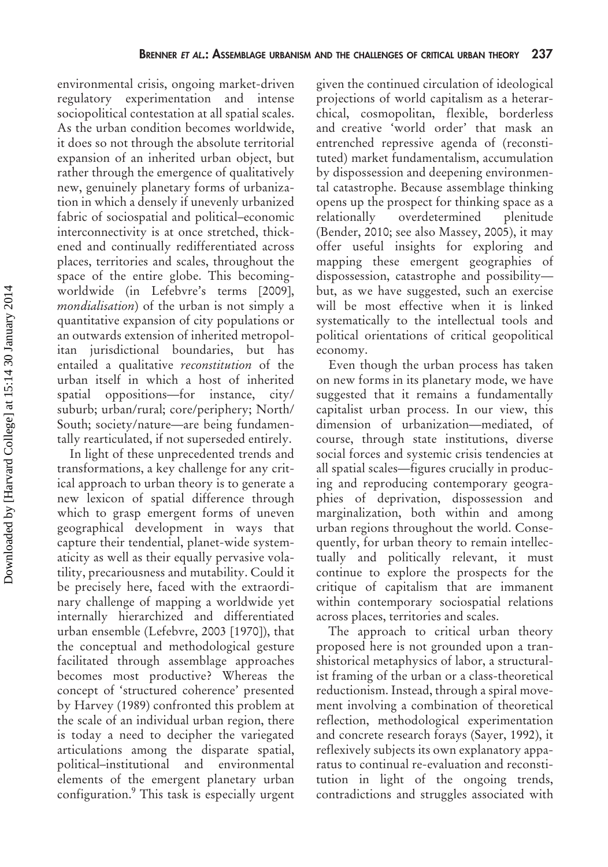environmental crisis, ongoing market-driven regulatory experimentation and intense sociopolitical contestation at all spatial scales. As the urban condition becomes worldwide, it does so not through the absolute territorial expansion of an inherited urban object, but rather through the emergence of qualitatively new, genuinely planetary forms of urbanization in which a densely if unevenly urbanized fabric of sociospatial and political–economic interconnectivity is at once stretched, thickened and continually redifferentiated across places, territories and scales, throughout the space of the entire globe. This becomingworldwide (in Lefebvre's terms [2009], *mondialisation*) of the urban is not simply a quantitative expansion of city populations or an outwards extension of inherited metropolitan jurisdictional boundaries, but has entailed a qualitative *reconstitution* of the urban itself in which a host of inherited spatial oppositions—for instance, city/ suburb; urban/rural; core/periphery; North/ South; society/nature—are being fundamentally rearticulated, if not superseded entirely.

In light of these unprecedented trends and transformations, a key challenge for any critical approach to urban theory is to generate a new lexicon of spatial difference through which to grasp emergent forms of uneven geographical development in ways that capture their tendential, planet-wide systematicity as well as their equally pervasive volatility, precariousness and mutability. Could it be precisely here, faced with the extraordinary challenge of mapping a worldwide yet internally hierarchized and differentiated urban ensemble (Lefebvre, 2003 [1970]), that the conceptual and methodological gesture facilitated through assemblage approaches becomes most productive? Whereas the concept of 'structured coherence' presented by Harvey (1989) confronted this problem at the scale of an individual urban region, there is today a need to decipher the variegated articulations among the disparate spatial, political–institutional and environmental elements of the emergent planetary urban configuration.9 This task is especially urgent given the continued circulation of ideological projections of world capitalism as a heterarchical, cosmopolitan, flexible, borderless and creative 'world order' that mask an entrenched repressive agenda of (reconstituted) market fundamentalism, accumulation by dispossession and deepening environmental catastrophe. Because assemblage thinking opens up the prospect for thinking space as a relationally overdetermined plenitude (Bender, 2010; see also Massey, 2005), it may offer useful insights for exploring and mapping these emergent geographies of dispossession, catastrophe and possibility but, as we have suggested, such an exercise will be most effective when it is linked systematically to the intellectual tools and political orientations of critical geopolitical economy.

Even though the urban process has taken on new forms in its planetary mode, we have suggested that it remains a fundamentally capitalist urban process. In our view, this dimension of urbanization—mediated, of course, through state institutions, diverse social forces and systemic crisis tendencies at all spatial scales—figures crucially in producing and reproducing contemporary geographies of deprivation, dispossession and marginalization, both within and among urban regions throughout the world. Consequently, for urban theory to remain intellectually and politically relevant, it must continue to explore the prospects for the critique of capitalism that are immanent within contemporary sociospatial relations across places, territories and scales.

The approach to critical urban theory proposed here is not grounded upon a transhistorical metaphysics of labor, a structuralist framing of the urban or a class-theoretical reductionism. Instead, through a spiral movement involving a combination of theoretical reflection, methodological experimentation and concrete research forays (Sayer, 1992), it reflexively subjects its own explanatory apparatus to continual re-evaluation and reconstitution in light of the ongoing trends, contradictions and struggles associated with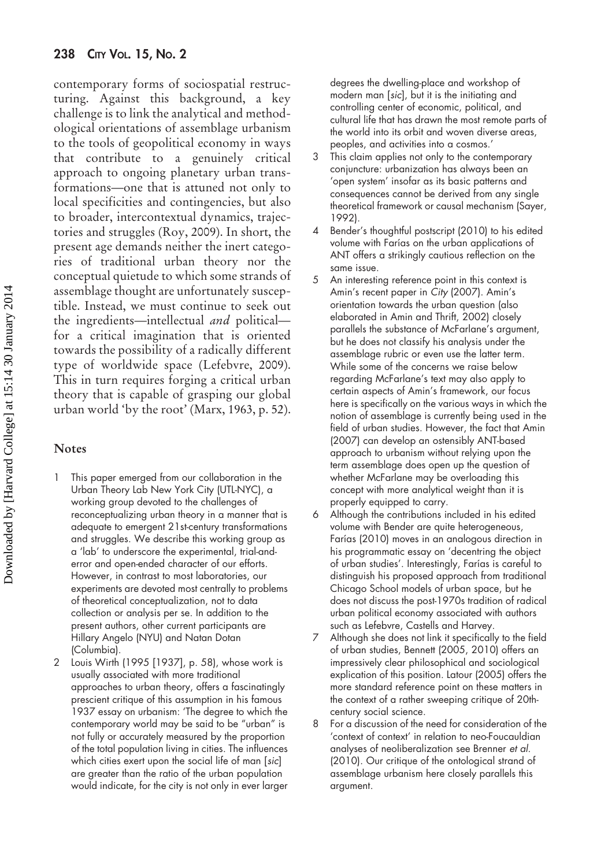contemporary forms of sociospatial restructuring. Against this background, a key challenge is to link the analytical and methodological orientations of assemblage urbanism to the tools of geopolitical economy in ways that contribute to a genuinely critical approach to ongoing planetary urban transformations—one that is attuned not only to local specificities and contingencies, but also to broader, intercontextual dynamics, trajectories and struggles (Roy, 2009). In short, the present age demands neither the inert categories of traditional urban theory nor the conceptual quietude to which some strands of assemblage thought are unfortunately susceptible. Instead, we must continue to seek out the ingredients—intellectual *and* political for a critical imagination that is oriented towards the possibility of a radically different type of worldwide space (Lefebvre, 2009). This in turn requires forging a critical urban theory that is capable of grasping our global urban world 'by the root' (Marx, 1963, p. 52).

#### **Notes**

- This paper emerged from our collaboration in the Urban Theory Lab New York City (UTL-NYC), a working group devoted to the challenges of reconceptualizing urban theory in a manner that is adequate to emergent 21st-century transformations and struggles. We describe this working group as a 'lab' to underscore the experimental, trial-anderror and open-ended character of our efforts. However, in contrast to most laboratories, our experiments are devoted most centrally to problems of theoretical conceptualization, not to data collection or analysis per se. In addition to the present authors, other current participants are Hillary Angelo (NYU) and Natan Dotan (Columbia).
- <sup>2</sup>2 Louis Wirth (1995 [1937], p. 58), whose work is usually associated with more traditional approaches to urban theory, offers a fascinatingly prescient critique of this assumption in his famous 1937 essay on urbanism: 'The degree to which the contemporary world may be said to be "urban" is not fully or accurately measured by the proportion of the total population living in cities. The influences which cities exert upon the social life of man [*sic*] are greater than the ratio of the urban population would indicate, for the city is not only in ever larger

degrees the dwelling-place and workshop of modern man [*sic*], but it is the initiating and controlling center of economic, political, and cultural life that has drawn the most remote parts of the world into its orbit and woven diverse areas, peoples, and activities into a cosmos.'

- <sup>3</sup>3 This claim applies not only to the contemporary conjuncture: urbanization has always been an 'open system' insofar as its basic patterns and consequences cannot be derived from any single theoretical framework or causal mechanism (Sayer, 1992).
- <sup>4</sup>4 Bender's thoughtful postscript (2010) to his edited volume with Farías on the urban applications of ANT offers a strikingly cautious reflection on the same issue.
- <sup>5</sup>5 An interesting reference point in this context is Amin's recent paper in *City* (2007). Amin's orientation towards the urban question (also elaborated in Amin and Thrift, 2002) closely parallels the substance of McFarlane's argument, but he does not classify his analysis under the assemblage rubric or even use the latter term. While some of the concerns we raise below regarding McFarlane's text may also apply to certain aspects of Amin's framework, our focus here is specifically on the various ways in which the notion of assemblage is currently being used in the field of urban studies. However, the fact that Amin (2007) can develop an ostensibly ANT-based approach to urbanism without relying upon the term assemblage does open up the question of whether McFarlane may be overloading this concept with more analytical weight than it is properly equipped to carry.
- <sup>6</sup>6 Although the contributions included in his edited volume with Bender are quite heterogeneous, Farías (2010) moves in an analogous direction in his programmatic essay on 'decentring the object of urban studies'. Interestingly, Farías is careful to distinguish his proposed approach from traditional Chicago School models of urban space, but he does not discuss the post-1970s tradition of radical urban political economy associated with authors such as Lefebvre, Castells and Harvey.
- <sup>7</sup>7 Although she does not link it specifically to the field of urban studies, Bennett (2005, 2010) offers an impressively clear philosophical and sociological explication of this position. Latour (2005) offers the more standard reference point on these matters in the context of a rather sweeping critique of 20thcentury social science.
- 8 For a discussion of the need for consideration of the 'context of context' in relation to neo-Foucauldian analyses of neoliberalization see Brenner *et al*. (2010). Our critique of the ontological strand of assemblage urbanism here closely parallels this argument.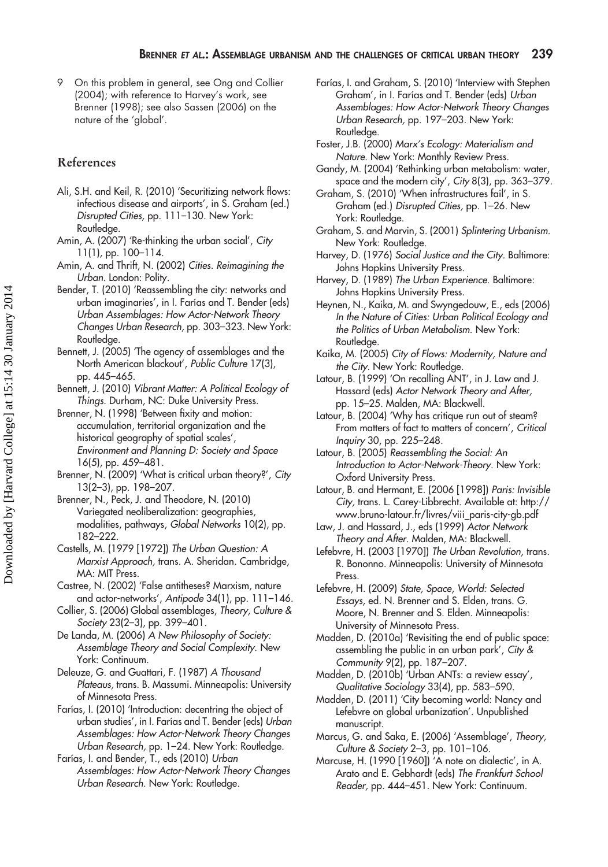9 On this problem in general, see Ong and Collier (2004); with reference to Harvey's work, see Brenner (1998); see also Sassen (2006) on the nature of the 'global'.

#### **References**

- Ali, S.H. and Keil, R. (2010) 'Securitizing network flows: infectious disease and airports', in S. Graham (ed.) *Disrupted Cities,* pp. 111–130. New York: Routledge.
- Amin, A. (2007) 'Re-thinking the urban social', *City* 11(1), pp. 100–114.
- Amin, A. and Thrift, N. (2002) *Cities. Reimagining the Urban.* London: Polity.
- Bender, T. (2010) 'Reassembling the city: networks and urban imaginaries', in I. Farías and T. Bender (eds) *Urban Assemblages: How Actor-Network Theory Changes Urban Research,* pp. 303–323. New York: Routledge.
- Bennett, J. (2005) 'The agency of assemblages and the North American blackout', *Public Culture* 17(3), pp. 445–465.
- Bennett, J. (2010) *Vibrant Matter: A Political Ecology of Things.* Durham, NC: Duke University Press.
- Brenner, N. (1998) 'Between fixity and motion: accumulation, territorial organization and the historical geography of spatial scales', *Environment and Planning D: Society and Space* 16(5), pp. 459–481.
- Brenner, N. (2009) 'What is critical urban theory?', *City* 13(2–3), pp. 198–207.
- Brenner, N., Peck, J. and Theodore, N. (2010) Variegated neoliberalization: geographies, modalities, pathways, *Global Networks* 10(2), pp. 182–222.
- Castells, M. (1979 [1972]) *The Urban Question: A Marxist Approach,* trans. A. Sheridan. Cambridge, MA: MIT Press.
- Castree, N. (2002) 'False antitheses? Marxism, nature and actor-networks', *Antipode* 34(1), pp. 111–146.
- Collier, S. (2006) Global assemblages, *Theory, Culture & Society* 23(2–3), pp. 399–401.
- De Landa, M. (2006) *A New Philosophy of Society: Assemblage Theory and Social Complexity.* New York: Continuum.
- Deleuze, G. and Guattari, F. (1987) *A Thousand Plateaus,* trans. B. Massumi. Minneapolis: University of Minnesota Press.
- Farías, I. (2010) 'Introduction: decentring the object of urban studies', in I. Farías and T. Bender (eds) *Urban Assemblages: How Actor-Network Theory Changes Urban Research,* pp. 1–24. New York: Routledge.
- Farías, I. and Bender, T., eds (2010) *Urban Assemblages: How Actor-Network Theory Changes Urban Research.* New York: Routledge.

Farías, I. and Graham, S. (2010) 'Interview with Stephen Graham', in I. Farías and T. Bender (eds) *Urban Assemblages: How Actor-Network Theory Changes Urban Research,* pp. 197–203. New York: Routledge.

- Foster, J.B. (2000) *Marx's Ecology: Materialism and Nature.* New York: Monthly Review Press.
- Gandy, M. (2004) 'Rethinking urban metabolism: water, space and the modern city', *City* 8(3), pp. 363–379.
- Graham, S. (2010) 'When infrastructures fail', in S. Graham (ed.) *Disrupted Cities,* pp. 1–26. New York: Routledge.
- Graham, S. and Marvin, S. (2001) *Splintering Urbanism.* New York: Routledge.
- Harvey, D. (1976) *Social Justice and the City.* Baltimore: Johns Hopkins University Press.
- Harvey, D. (1989) *The Urban Experience.* Baltimore: Johns Hopkins University Press.
- Heynen, N., Kaika, M. and Swyngedouw, E., eds (2006) *In the Nature of Cities: Urban Political Ecology and the Politics of Urban Metabolism.* New York: Routledge.
- Kaika, M. (2005) *City of Flows: Modernity, Nature and the City.* New York: Routledge.
- Latour, B. (1999) 'On recalling ANT', in J. Law and J. Hassard (eds) *Actor Network Theory and After,* pp. 15–25. Malden, MA: Blackwell.
- Latour, B. (2004) 'Why has critique run out of steam? From matters of fact to matters of concern', *Critical Inquiry* 30, pp. 225–248.
- Latour, B. (2005) *Reassembling the Social: An Introduction to Actor-Network-Theory.* New York: Oxford University Press.
- Latour, B. and Hermant, E. (2006 [1998]) *Paris: Invisible City,* trans. L. Carey-Libbrecht. Available at: http:// www.bruno-latour.fr/livres/viii\_paris-city-gb.pdf
- Law, J. and Hassard, J., eds (1999) *Actor Network Theory and After.* Malden, MA: Blackwell.
- Lefebvre, H. (2003 [1970]) *The Urban Revolution,* trans. R. Bononno. Minneapolis: University of Minnesota Press.
- Lefebvre, H. (2009) *State, Space, World: Selected Essays,* ed. N. Brenner and S. Elden, trans. G. Moore, N. Brenner and S. Elden. Minneapolis: University of Minnesota Press.
- Madden, D. (2010a) 'Revisiting the end of public space: assembling the public in an urban park', *City & Community* 9(2), pp. 187–207.
- Madden, D. (2010b) 'Urban ANTs: a review essay', *Qualitative Sociology* 33(4), pp. 583–590.
- Madden, D. (2011) 'City becoming world: Nancy and Lefebvre on global urbanization'. Unpublished manuscript.
- Marcus, G. and Saka, E. (2006) 'Assemblage', *Theory, Culture & Society* 2–3, pp. 101–106.
- Marcuse, H. (1990 [1960]) 'A note on dialectic', in A. Arato and E. Gebhardt (eds) *The Frankfurt School Reader,* pp. 444–451. New York: Continuum.